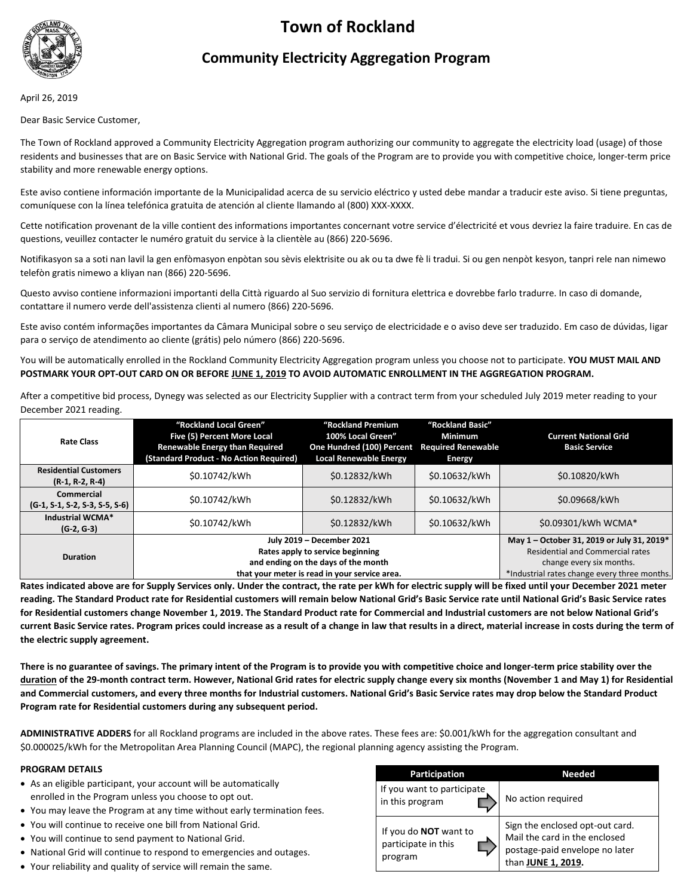# **Town of Rockland**



# **Community Electricity Aggregation Program**

April 26, 2019

Dear Basic Service Customer,

The Town of Rockland approved a Community Electricity Aggregation program authorizing our community to aggregate the electricity load (usage) of those residents and businesses that are on Basic Service with National Grid. The goals of the Program are to provide you with competitive choice, longer-term price stability and more renewable energy options.

Este aviso contiene información importante de la Municipalidad acerca de su servicio eléctrico y usted debe mandar a traducir este aviso. Si tiene preguntas, comuníquese con la línea telefónica gratuita de atención al cliente llamando al (800) XXX-XXXX.

Cette notification provenant de la ville contient des informations importantes concernant votre service d'électricité et vous devriez la faire traduire. En cas de questions, veuillez contacter le numéro gratuit du service à la clientèle au (866) 220-5696.

Notifikasyon sa a soti nan lavil la gen enfòmasyon enpòtan sou sèvis elektrisite ou ak ou ta dwe fè li tradui. Si ou gen nenpòt kesyon, tanpri rele nan nimewo telefòn gratis nimewo a kliyan nan (866) 220-5696.

Questo avviso contiene informazioni importanti della Città riguardo al Suo servizio di fornitura elettrica e dovrebbe farlo tradurre. In caso di domande, contattare il numero verde dell'assistenza clienti al numero (866) 220-5696.

Este aviso contém informações importantes da Câmara Municipal sobre o seu serviço de electricidade e o aviso deve ser traduzido. Em caso de dúvidas, ligar para o serviço de atendimento ao cliente (grátis) pelo número (866) 220-5696.

You will be automatically enrolled in the Rockland Community Electricity Aggregation program unless you choose not to participate. **YOU MUST MAIL AND POSTMARK YOUR OPT-OUT CARD ON OR BEFORE JUNE 1, 2019 TO AVOID AUTOMATIC ENROLLMENT IN THE AGGREGATION PROGRAM.**

After a competitive bid process, Dynegy was selected as our Electricity Supplier with a contract term from your scheduled July 2019 meter reading to your December 2021 reading.

| <b>Rate Class</b>                                     | "Rockland Local Green"<br>Five (5) Percent More Local<br><b>Renewable Energy than Required</b><br>(Standard Product - No Action Required)             | "Rockland Premium<br>100% Local Green"<br>One Hundred (100) Percent<br><b>Local Renewable Energy</b> | "Rockland Basic"<br><b>Minimum</b><br><b>Required Renewable</b><br><b>Energy</b> | <b>Current National Grid</b><br><b>Basic Service</b>                                                                                                              |
|-------------------------------------------------------|-------------------------------------------------------------------------------------------------------------------------------------------------------|------------------------------------------------------------------------------------------------------|----------------------------------------------------------------------------------|-------------------------------------------------------------------------------------------------------------------------------------------------------------------|
| <b>Residential Customers</b><br>$(R-1, R-2, R-4)$     | \$0.10742/kWh                                                                                                                                         | \$0.12832/kWh                                                                                        | \$0.10632/kWh                                                                    | \$0.10820/kWh                                                                                                                                                     |
| <b>Commercial</b><br>$(G-1, S-1, S-2, S-3, S-5, S-6)$ | \$0.10742/kWh                                                                                                                                         | \$0.12832/kWh                                                                                        | \$0.10632/kWh                                                                    | \$0.09668/kWh                                                                                                                                                     |
| Industrial WCMA*<br>$(G-2, G-3)$                      | \$0.10742/kWh                                                                                                                                         | \$0.12832/kWh                                                                                        | \$0.10632/kWh                                                                    | \$0.09301/kWh WCMA*                                                                                                                                               |
| <b>Duration</b>                                       | July 2019 - December 2021<br>Rates apply to service beginning<br>and ending on the days of the month<br>that your meter is read in your service area. |                                                                                                      |                                                                                  | May 1 - October 31, 2019 or July 31, 2019*<br><b>Residential and Commercial rates</b><br>change every six months.<br>*Industrial rates change every three months. |

**Rates indicated above are for Supply Services only. Under the contract, the rate per kWh for electric supply will be fixed until your December 2021 meter reading. The Standard Product rate for Residential customers will remain below National Grid's Basic Service rate until National Grid's Basic Service rates for Residential customers change November 1, 2019. The Standard Product rate for Commercial and Industrial customers are not below National Grid's current Basic Service rates. Program prices could increase as a result of a change in law that results in a direct, material increase in costs during the term of the electric supply agreement.**

**There is no guarantee of savings. The primary intent of the Program is to provide you with competitive choice and longer-term price stability over the duration of the 29-month contract term. However, National Grid rates for electric supply change every six months (November 1 and May 1) for Residential and Commercial customers, and every three months for Industrial customers. National Grid's Basic Service rates may drop below the Standard Product Program rate for Residential customers during any subsequent period.**

**ADMINISTRATIVE ADDERS** for all Rockland programs are included in the above rates. These fees are: \$0.001/kWh for the aggregation consultant and \$0.000025/kWh for the Metropolitan Area Planning Council (MAPC), the regional planning agency assisting the Program.

# **PROGRAM DETAILS**

- As an eligible participant, your account will be automatically enrolled in the Program unless you choose to opt out.
- You may leave the Program at any time without early termination fees.
- You will continue to receive one bill from National Grid.
- You will continue to send payment to National Grid.
- National Grid will continue to respond to emergencies and outages.
- Your reliability and quality of service will remain the same.

| <b>Participation</b>                                           | Needed                                                                                                                   |  |  |
|----------------------------------------------------------------|--------------------------------------------------------------------------------------------------------------------------|--|--|
| If you want to participate<br>in this program                  | No action required                                                                                                       |  |  |
| If you do <b>NOT</b> want to<br>participate in this<br>program | Sign the enclosed opt-out card.<br>Mail the card in the enclosed<br>postage-paid envelope no later<br>than JUNE 1, 2019. |  |  |